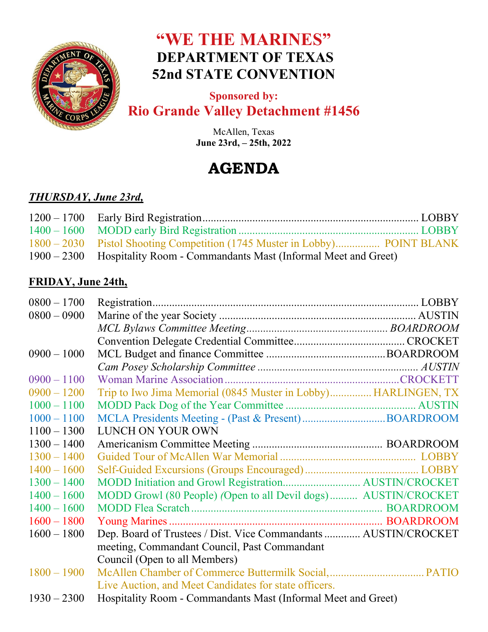

# **"WE THE MARINES" DEPARTMENT OF TEXAS 52nd STATE CONVENTION**

### **Sponsored by: Rio Grande Valley Detachment #1456**

McAllen, Texas **June 23rd, – 25th, 2022** 

# **AGENDA**

## *THURSDAY, June 23rd,*

| 1900 – 2300 Hospitality Room - Commandants Mast (Informal Meet and Greet) |  |
|---------------------------------------------------------------------------|--|

#### **FRIDAY, June 24th,**

| $0800 - 1700$ |                                                                 |
|---------------|-----------------------------------------------------------------|
| $0800 - 0900$ |                                                                 |
|               |                                                                 |
|               |                                                                 |
| $0900 - 1000$ |                                                                 |
|               |                                                                 |
| $0900 - 1100$ |                                                                 |
| $0900 - 1200$ | Trip to Iwo Jima Memorial (0845 Muster in Lobby) HARLINGEN, TX  |
| $1000 - 1100$ |                                                                 |
| $1000 - 1100$ |                                                                 |
| $1100 - 1300$ | LUNCH ON YOUR OWN                                               |
| $1300 - 1400$ |                                                                 |
| $1300 - 1400$ |                                                                 |
| $1400 - 1600$ |                                                                 |
| $1300 - 1400$ |                                                                 |
| $1400 - 1600$ | MODD Growl (80 People) (Open to all Devil dogs) AUSTIN/CROCKET  |
| $1400 - 1600$ |                                                                 |
| $1600 - 1800$ |                                                                 |
| $1600 - 1800$ | Dep. Board of Trustees / Dist. Vice Commandants  AUSTIN/CROCKET |
|               | meeting, Commandant Council, Past Commandant                    |
|               | Council (Open to all Members)                                   |
| $1800 - 1900$ |                                                                 |
|               | Live Auction, and Meet Candidates for state officers.           |
| $1930 - 2300$ | Hospitality Room - Commandants Mast (Informal Meet and Greet)   |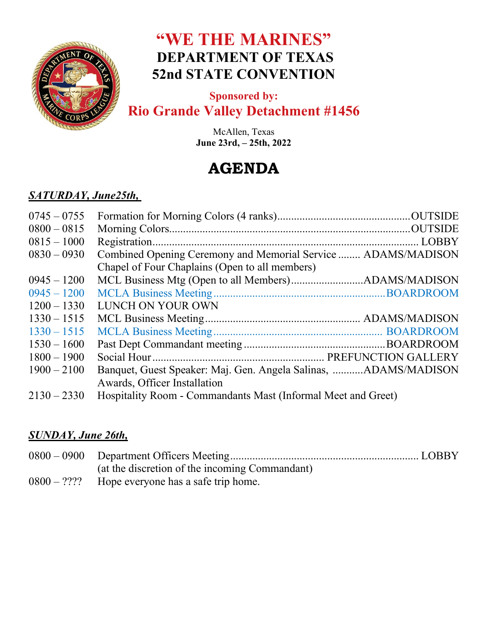

# **"WE THE MARINES" DEPARTMENT OF TEXAS 52nd STATE CONVENTION**

### **Sponsored by: Rio Grande Valley Detachment #1456**

McAllen, Texas **June 23rd, – 25th, 2022** 

# **AGENDA**

#### *SATURDAY, June25th,*

| $0745 - 0755$ |                                                                 |  |
|---------------|-----------------------------------------------------------------|--|
| $0800 - 0815$ |                                                                 |  |
| $0815 - 1000$ |                                                                 |  |
| $0830 - 0930$ | Combined Opening Ceremony and Memorial Service  ADAMS/MADISON   |  |
|               | Chapel of Four Chaplains (Open to all members)                  |  |
| $0945 - 1200$ |                                                                 |  |
| $0945 - 1200$ |                                                                 |  |
| $1200 - 1330$ | LUNCH ON YOUR OWN                                               |  |
| $1330 - 1515$ |                                                                 |  |
| $1330 - 1515$ |                                                                 |  |
| $1530 - 1600$ |                                                                 |  |
| $1800 - 1900$ |                                                                 |  |
| $1900 - 2100$ | Banquet, Guest Speaker: Maj. Gen. Angela Salinas, ADAMS/MADISON |  |
|               | Awards, Officer Installation                                    |  |
| $2130 - 2330$ | Hospitality Room - Commandants Mast (Informal Meet and Greet)   |  |
|               |                                                                 |  |

#### *SUNDAY, June 26th,*

| (at the discretion of the incoming Commandant)     |  |
|----------------------------------------------------|--|
| $0800 - ?$ ??? Hope everyone has a safe trip home. |  |